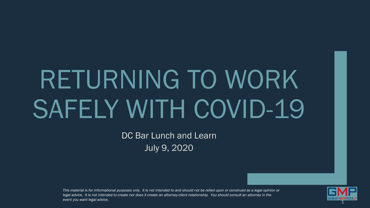# RETURNING TO WORK SAFELY WITH COVID-19

DC Bar Lunch and Learn July 9, 2020

*This material is for informational purposes only. It is not intended to and should not be relied upon or construed as a legal opinion or legal advice. It is not intended to create nor does it create an attorney-client relationship. You should consult an attorney in the event you want legal advice.* 

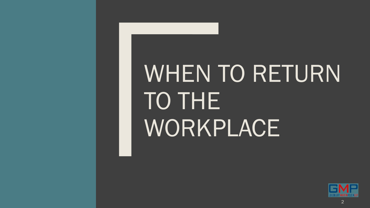## WHEN TO RETURN TO THE WORKPLACE

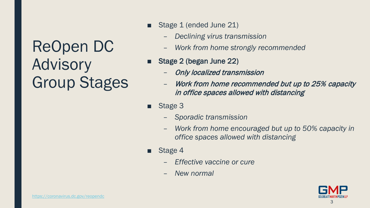ReOpen DC Advisory Group Stages

- Stage 1 (ended June 21)
	- *Declining virus transmission*
	- *Work from home strongly recommended*
- Stage 2 (began June 22)
	- Only localized transmission
	- Work from home recommended but up to 25% capacity in office spaces allowed with distancing
- Stage 3
	- *Sporadic transmission*
	- *Work from home encouraged but up to 50% capacity in office spaces allowed with distancing*
- Stage 4
	- *Effective vaccine or cure*
	- *New normal*

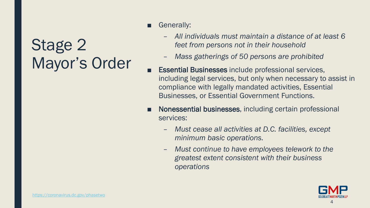## Stage 2 Mayor's Order

- Generally:
	- *All individuals must maintain a distance of at least 6 feet from persons not in their household*
	- *Mass gatherings of 50 persons are prohibited*
- Essential Businesses include professional services, including legal services, but only when necessary to assist in compliance with legally mandated activities, Essential Businesses, or Essential Government Functions.
- Nonessential businesses, including certain professional services:
	- *Must cease all activities at D.C. facilities, except minimum basic operations.*
	- *Must continue to have employees telework to the greatest extent consistent with their business operations*

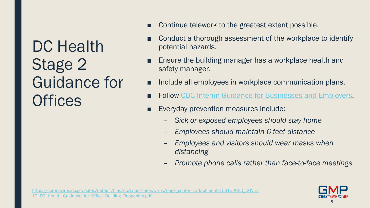DC Health Stage 2 Guidance for **Offices** 

- Continue telework to the greatest extent possible.
- Conduct a thorough assessment of the workplace to identify potential hazards.
- Ensure the building manager has a workplace health and safety manager.
- Include all employees in workplace communication plans.
- Follow [CDC Interim Guidance for Businesses and Employers.](https://www.cdc.gov/coronavirus/2019-ncov/community/guidance-business-response.html)
- Everyday prevention measures include:
	- *Sick or exposed employees should stay home*
	- *Employees should maintain 6 feet distance*
	- *Employees and visitors should wear masks when distancing*
	- *Promote phone calls rather than face-to-face meetings*

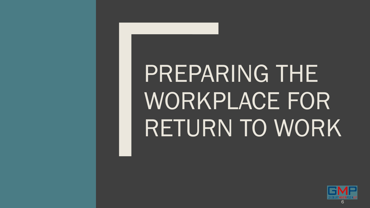## PREPARING THE WORKPLACE FOR RETURN TO WORK

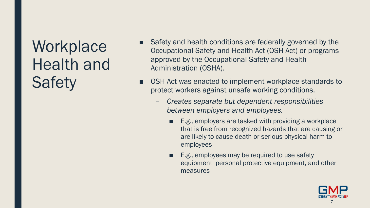**Workplace** Health and **Safety** 

- Safety and health conditions are federally governed by the Occupational Safety and Health Act (OSH Act) or programs approved by the Occupational Safety and Health Administration (OSHA).
- OSH Act was enacted to implement workplace standards to protect workers against unsafe working conditions.
	- *Creates separate but dependent responsibilities between employers and employees.*
		- E.g., employers are tasked with providing a workplace that is free from recognized hazards that are causing or are likely to cause death or serious physical harm to employees
		- E.g., employees may be required to use safety equipment, personal protective equipment, and other measures

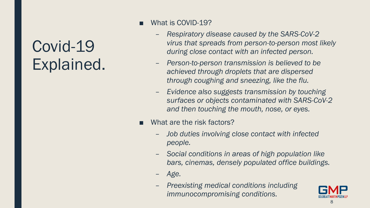### Covid-19 Explained.

- What is COVID-19?
	- *Respiratory disease caused by the SARS-CoV-2 virus that spreads from person-to-person most likely during close contact with an infected person.*
	- *Person-to-person transmission is believed to be achieved through droplets that are dispersed through coughing and sneezing, like the flu.*
	- *Evidence also suggests transmission by touching surfaces or objects contaminated with SARS-CoV-2 and then touching the mouth, nose, or eyes.*
- What are the risk factors?
	- *Job duties involving close contact with infected people.*
	- *Social conditions in areas of high population like bars, cinemas, densely populated office buildings.*
	- *Age.*
	- *Preexisting medical conditions including immunocompromising conditions.*

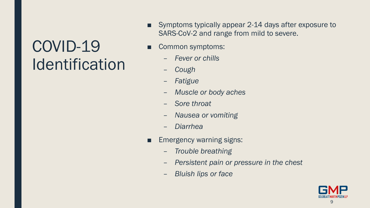## COVID-19 Identification

- Symptoms typically appear 2-14 days after exposure to SARS-CoV-2 and range from mild to severe.
- Common symptoms:
	- *Fever or chills*
	- *Cough*
	- *Fatigue*
	- *Muscle or body aches*
	- *Sore throat*
	- *Nausea or vomiting*
	- *Diarrhea*
- Emergency warning signs:
	- *Trouble breathing*
	- *Persistent pain or pressure in the chest*
	- *Bluish lips or face*

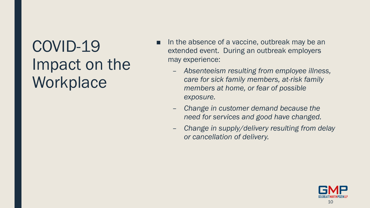## COVID-19 Impact on the **Workplace**

- In the absence of a vaccine, outbreak may be an extended event. During an outbreak employers may experience:
	- *Absenteeism resulting from employee illness, care for sick family members, at-risk family members at home, or fear of possible exposure.*
	- *Change in customer demand because the need for services and good have changed.*
	- *Change in supply/delivery resulting from delay or cancellation of delivery.*

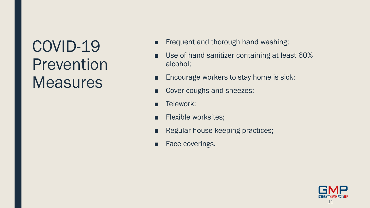## COVID-19 Prevention **Measures**

- Frequent and thorough hand washing;
- Use of hand sanitizer containing at least 60% alcohol;
- Encourage workers to stay home is sick;
- Cover coughs and sneezes;
- Telework;
- Flexible worksites;
- Regular house-keeping practices;
- Face coverings.

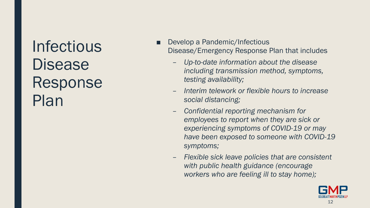Infectious **Disease** Response Plan

- Develop a Pandemic/Infectious Disease/Emergency Response Plan that includes
	- *Up-to-date information about the disease including transmission method, symptoms, testing availability;*
	- *Interim telework or flexible hours to increase social distancing;*
	- *Confidential reporting mechanism for employees to report when they are sick or experiencing symptoms of COVID-19 or may have been exposed to someone with COVID-19 symptoms;*
	- *Flexible sick leave policies that are consistent with public health guidance (encourage workers who are feeling ill to stay home);*

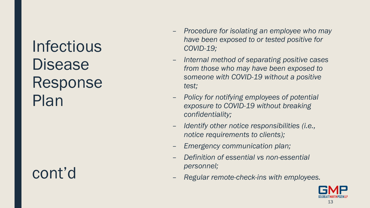Infectious **Disease** Response Plan

cont'd

- *Procedure for isolating an employee who may have been exposed to or tested positive for COVID-19;*
- *Internal method of separating positive cases from those who may have been exposed to someone with COVID-19 without a positive test;*
- *Policy for notifying employees of potential exposure to COVID-19 without breaking confidentiality;*
- *Identify other notice responsibilities (i.e., notice requirements to clients);*
- *Emergency communication plan;*
- *Definition of essential vs non-essential personnel;*
- *Regular remote-check-ins with employees.*

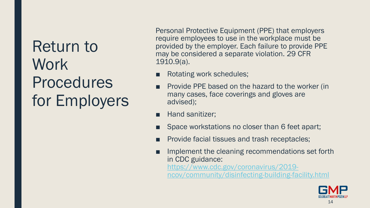Return to Work Procedures for Employers Personal Protective Equipment (PPE) that employers require employees to use in the workplace must be provided by the employer. Each failure to provide PPE may be considered a separate violation. 29 CFR 1910.9(a).

- Rotating work schedules;
- Provide PPE based on the hazard to the worker (in many cases, face coverings and gloves are advised);
- Hand sanitizer;
- Space workstations no closer than 6 feet apart;
- Provide facial tissues and trash receptacles;
- Implement the cleaning recommendations set forth in CDC guidance: https://www.cdc.gov/coronavirus/2019 [ncov/community/disinfecting-building-facility.html](https://www.cdc.gov/coronavirus/2019-ncov/community/disinfecting-building-facility.html)

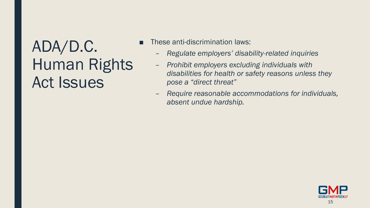## ADA/D.C. Human Rights Act Issues

- These anti-discrimination laws:
	- *Regulate employers' disability-related inquiries*
	- *Prohibit employers excluding individuals with disabilities for health or safety reasons unless they pose a "direct threat"*
	- *Require reasonable accommodations for individuals, absent undue hardship.*

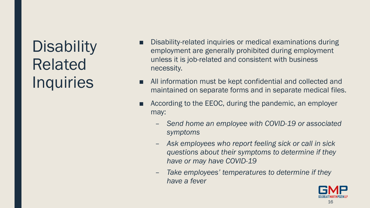## **Disability** Related **Inquiries**

- Disability-related inquiries or medical examinations during employment are generally prohibited during employment unless it is job-related and consistent with business necessity.
- All information must be kept confidential and collected and maintained on separate forms and in separate medical files.
- According to the EEOC, during the pandemic, an employer may:
	- *Send home an employee with COVID-19 or associated symptoms*
	- *Ask employees who report feeling sick or call in sick questions about their symptoms to determine if they have or may have COVID-19*
	- *Take employees' temperatures to determine if they have a fever*

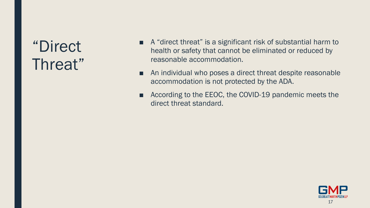#### "Direct Threat"

- A "direct threat" is a significant risk of substantial harm to health or safety that cannot be eliminated or reduced by reasonable accommodation.
- An individual who poses a direct threat despite reasonable accommodation is not protected by the ADA.
- According to the EEOC, the COVID-19 pandemic meets the direct threat standard.

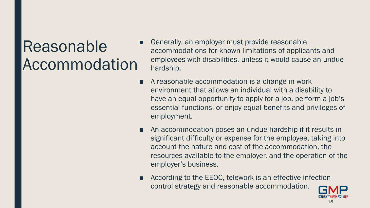## Reasonable Accommodation

- Generally, an employer must provide reasonable accommodations for known limitations of applicants and employees with disabilities, unless it would cause an undue hardship.
- A reasonable accommodation is a change in work environment that allows an individual with a disability to have an equal opportunity to apply for a job, perform a job's essential functions, or enjoy equal benefits and privileges of employment.
- An accommodation poses an undue hardship if it results in significant difficulty or expense for the employee, taking into account the nature and cost of the accommodation, the resources available to the employer, and the operation of the employer's business.
- According to the EEOC, telework is an effective infectioncontrol strategy and reasonable accommodation.

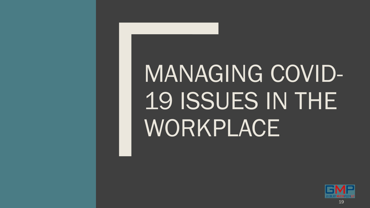## MANAGING COVID-19 ISSUES IN THE WORKPLACE

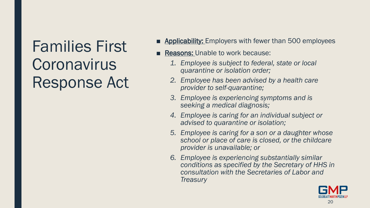## Families First **Coronavirus** Response Act

- Applicability: Employers with fewer than 500 employees
- **Reasons: Unable to work because:** 
	- *1. Employee is subject to federal, state or local quarantine or isolation order;*
	- *2. Employee has been advised by a health care provider to self-quarantine;*
	- *3. Employee is experiencing symptoms and is seeking a medical diagnosis;*
	- *4. Employee is caring for an individual subject or advised to quarantine or isolation;*
	- *5. Employee is caring for a son or a daughter whose school or place of care is closed, or the childcare provider is unavailable; or*
	- *6. Employee is experiencing substantially similar conditions as specified by the Secretary of HHS in consultation with the Secretaries of Labor and Treasury*

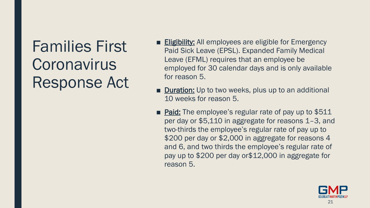## Families First **Coronavirus** Response Act

- **Eligibility:** All employees are eligible for Emergency Paid Sick Leave (EPSL). Expanded Family Medical Leave (EFML) requires that an employee be employed for 30 calendar days and is only available for reason 5.
- Duration: Up to two weeks, plus up to an additional 10 weeks for reason 5.
- Paid: The employee's regular rate of pay up to \$511 per day or \$5,110 in aggregate for reasons 1–3, and two-thirds the employee's regular rate of pay up to \$200 per day or \$2,000 in aggregate for reasons 4 and 6, and two thirds the employee's regular rate of pay up to \$200 per day or\$12,000 in aggregate for reason 5.

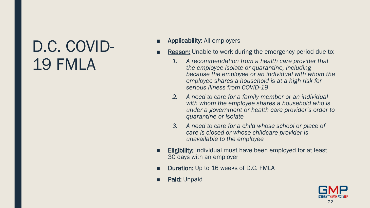## D.C. COVID-19 FMLA

- Applicability: All employers
- **Reason:** Unable to work during the emergency period due to:
	- *1. A recommendation from a health care provider that the employee isolate or quarantine, including because the employee or an individual with whom the employee shares a household is at a high risk for serious illness from COVID-19*
	- *2. A need to care for a family member or an individual with whom the employee shares a household who is under a government or health care provider's order to quarantine or isolate*
	- *3. A need to care for a child whose school or place of care is closed or whose childcare provider is unavailable to the employee*
- **Eligibility:** Individual must have been employed for at least 30 days with an employer
- Duration: Up to 16 weeks of D.C. FMLA
- Paid: Unpaid

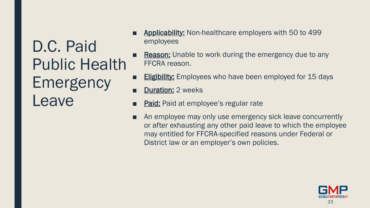D.C. Paid Public Health Emergency Leave

- Applicability: Non-healthcare employers with 50 to 499 employees
- Reason: Unable to work during the emergency due to any FFCRA reason.
- **Eligibility:** Employees who have been employed for 15 days
- **Duration: 2 weeks**
- Paid: Paid at employee's regular rate
- An employee may only use emergency sick leave concurrently or after exhausting any other paid leave to which the employee may entitled for FFCRA-specified reasons under Federal or District law or an employer's own policies.

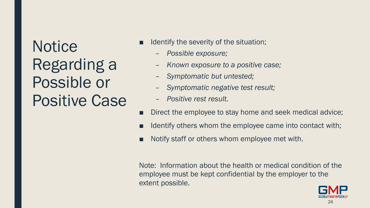**Notice** Regarding a Possible or Positive Case

- Identify the severity of the situation;
	- *Possible exposure;*
	- *Known exposure to a positive case;*
	- *Symptomatic but untested;*
	- *Symptomatic negative test result;*
	- *Positive rest result.*
- Direct the employee to stay home and seek medical advice;
- Identify others whom the employee came into contact with;
- Notify staff or others whom employee met with.

Note: Information about the health or medical condition of the employee must be kept confidential by the employer to the extent possible.

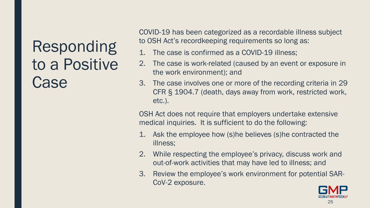## Responding to a Positive **Case**

COVID-19 has been categorized as a recordable illness subject to OSH Act's recordkeeping requirements so long as:

- 1. The case is confirmed as a COVID-19 illness;
- 2. The case is work-related (caused by an event or exposure in the work environment); and
- 3. The case involves one or more of the recording criteria in 29 CFR § 1904.7 (death, days away from work, restricted work, etc.).

OSH Act does not require that employers undertake extensive medical inquiries. It is sufficient to do the following:

- 1. Ask the employee how (s)he believes (s)he contracted the illness;
- 2. While respecting the employee's privacy, discuss work and out-of-work activities that may have led to illness; and
- 3. Review the employee's work environment for potential SAR-CoV-2 exposure.

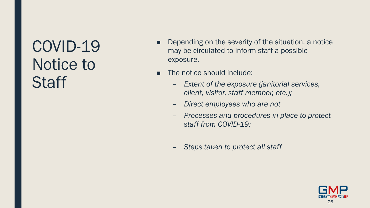## COVID-19 Notice to **Staff**

- Depending on the severity of the situation, a notice may be circulated to inform staff a possible exposure.
- The notice should include:
	- *Extent of the exposure (janitorial services, client, visitor, staff member, etc.);*
	- *Direct employees who are not*
	- *Processes and procedures in place to protect staff from COVID-19;*
	- *Steps taken to protect all staff*

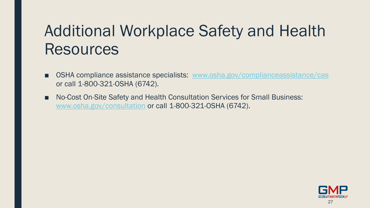## Additional Workplace Safety and Health **Resources**

- OSHA compliance assistance specialists: [www.osha.gov/complianceassistance/cas](http://www.osha.gov/complianceassistance/cas) or call 1-800-321-OSHA (6742).
- No-Cost On-Site Safety and Health Consultation Services for Small Business: [www.osha.gov/consultation](http://www.osha.gov/consultation) or call 1-800-321-OSHA (6742).